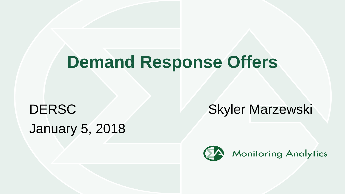# **Demand Response Offers**

# January 5, 2018

DERSC **Skyler Marzewski** 

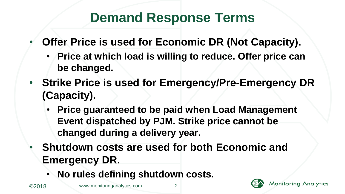#### **Demand Response Terms**

- **Offer Price is used for Economic DR (Not Capacity).**
	- **Price at which load is willing to reduce. Offer price can be changed.**
- **Strike Price is used for Emergency/Pre-Emergency DR (Capacity).**
	- **Price guaranteed to be paid when Load Management Event dispatched by PJM. Strike price cannot be changed during a delivery year.**
- **Shutdown costs are used for both Economic and Emergency DR.**
	- **No rules defining shutdown costs.**

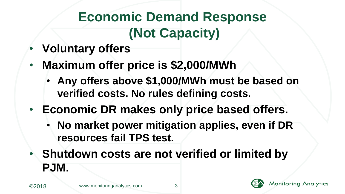## **Economic Demand Response (Not Capacity)**

- **Voluntary offers**
- **Maximum offer price is \$2,000/MWh**
	- **Any offers above \$1,000/MWh must be based on verified costs. No rules defining costs.**
- **Economic DR makes only price based offers.**
	- **No market power mitigation applies, even if DR resources fail TPS test.**
- **Shutdown costs are not verified or limited by PJM.**

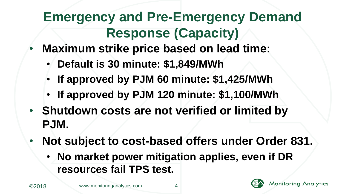## **Emergency and Pre-Emergency Demand Response (Capacity)**

- **Maximum strike price based on lead time:**
	- **Default is 30 minute: \$1,849/MWh**
	- **If approved by PJM 60 minute: \$1,425/MWh**
	- **If approved by PJM 120 minute: \$1,100/MWh**
- **Shutdown costs are not verified or limited by PJM.**
- **Not subject to cost-based offers under Order 831.**
	- **No market power mitigation applies, even if DR resources fail TPS test.**